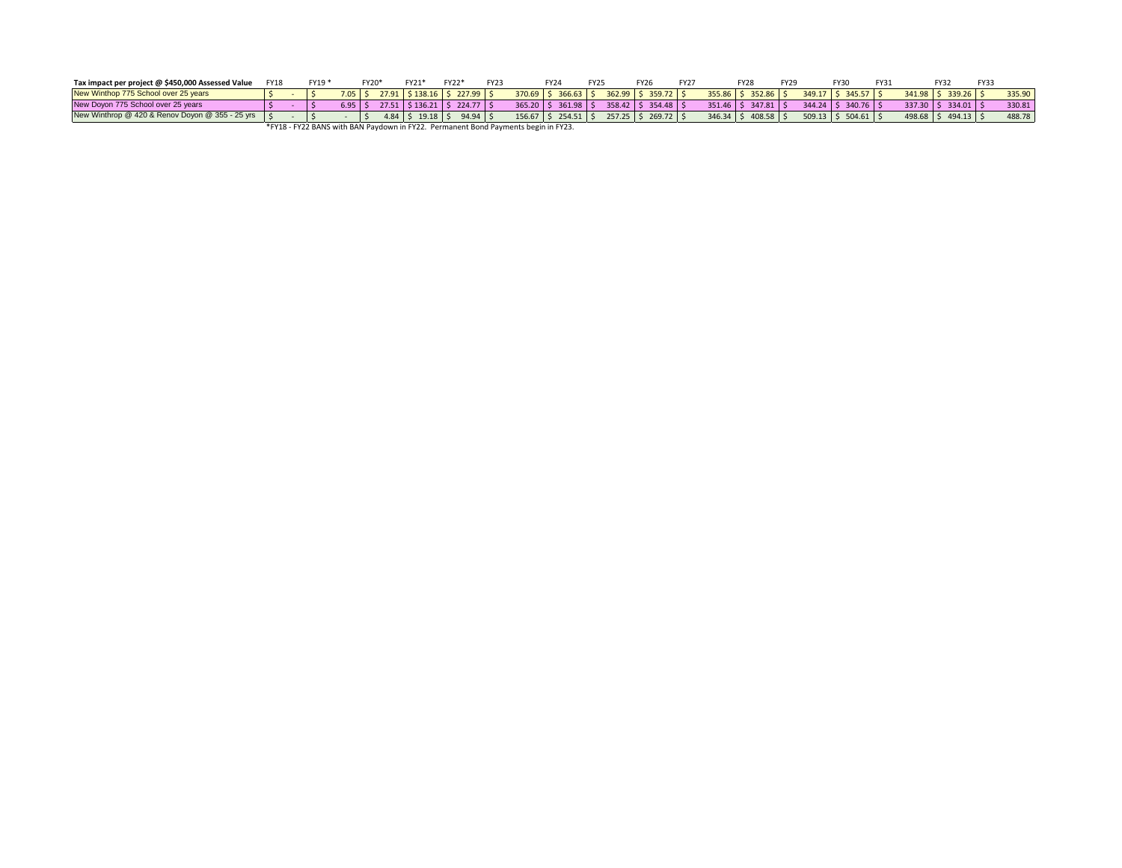| Tax impact per project @ \$450,000 Assessed Value                                  | <b>FY18</b> |  | FY19* |                      | FY20*          | FY21*     | FY22*                              | <b>FY23</b> |            | FY24                 | FY <sub>25</sub> |  | <b>FY26</b>             | FY27 |               | <b>FY28</b>           | <b>FY29</b> |             | FY30                      | FY3. | FY32                      | <b>FY3</b> |        |
|------------------------------------------------------------------------------------|-------------|--|-------|----------------------|----------------|-----------|------------------------------------|-------------|------------|----------------------|------------------|--|-------------------------|------|---------------|-----------------------|-------------|-------------|---------------------------|------|---------------------------|------------|--------|
| New Winthop 775 School over 25 years                                               |             |  |       | $7.05$ $\frac{2}{5}$ |                |           | $27.91$   \$138.16   \$227.99   \$ |             |            | 370.69 \$ 366.63     |                  |  | 362.99 \$ 359.72 \$     |      |               | $355.86$ \$ 352.86 \$ |             |             | $349.17$   \$ 345.57   \$ |      | $341.98$ \$ 339.26 \$     |            | 335.90 |
| New Dovon 775 School over 25 years                                                 |             |  |       | $6.95$ S             |                |           | 27.51   \$136.21   \$224.77   \$   |             | $365.20$ S | 361.98               |                  |  | 358.42   \$ 354.48   \$ |      |               | 351.46 \$ 347.81 \$   |             | $344.24$ \$ | $340.76$ $\pm$            |      | $337.30$   \$ 334.01   \$ |            | 330.81 |
| New Winthrop @ 420 & Renov Doyon @ 355 - 25 yrs S                                  |             |  |       |                      | $4.84 \quad S$ | $19.18$ S |                                    | $94.94$ \$  |            | $156.67$ \$ 254.51 \ |                  |  | $257.25$ \$ 269.72 \$   |      | $346.34$ \ \$ | $408.58$ S            |             |             | $509.13$ \$ 504.61 \$     |      | 498.68 \$494.13 \$        |            | 488.78 |
| *FY18 - FY22 BANS with BAN Paydown in FY22. Permanent Bond Payments begin in FY23. |             |  |       |                      |                |           |                                    |             |            |                      |                  |  |                         |      |               |                       |             |             |                           |      |                           |            |        |